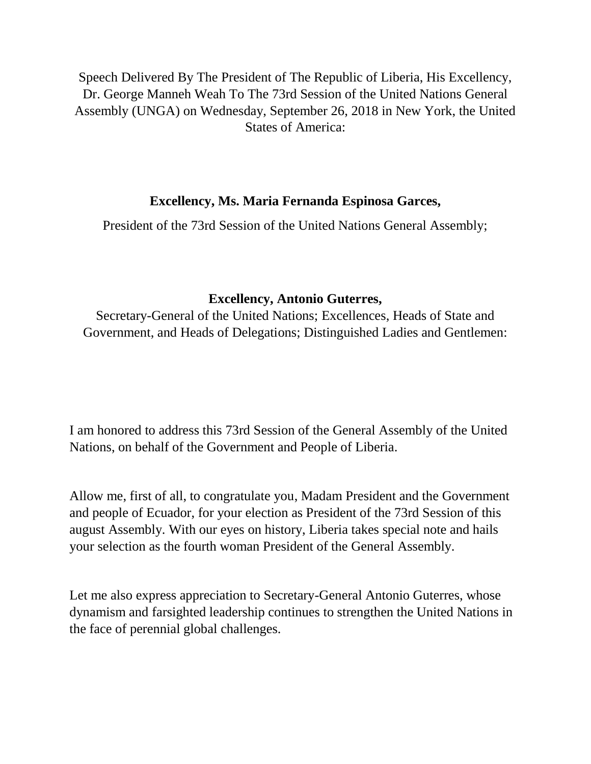Speech Delivered By The President of The Republic of Liberia, His Excellency, Dr. George Manneh Weah To The 73rd Session of the United Nations General Assembly (UNGA) on Wednesday, September 26, 2018 in New York, the United States of America:

## **Excellency, Ms. Maria Fernanda Espinosa Garces,**

President of the 73rd Session of the United Nations General Assembly;

## **Excellency, Antonio Guterres,**

Secretary-General of the United Nations; Excellences, Heads of State and Government, and Heads of Delegations; Distinguished Ladies and Gentlemen:

I am honored to address this 73rd Session of the General Assembly of the United Nations, on behalf of the Government and People of Liberia.

Allow me, first of all, to congratulate you, Madam President and the Government and people of Ecuador, for your election as President of the 73rd Session of this august Assembly. With our eyes on history, Liberia takes special note and hails your selection as the fourth woman President of the General Assembly.

Let me also express appreciation to Secretary-General Antonio Guterres, whose dynamism and farsighted leadership continues to strengthen the United Nations in the face of perennial global challenges.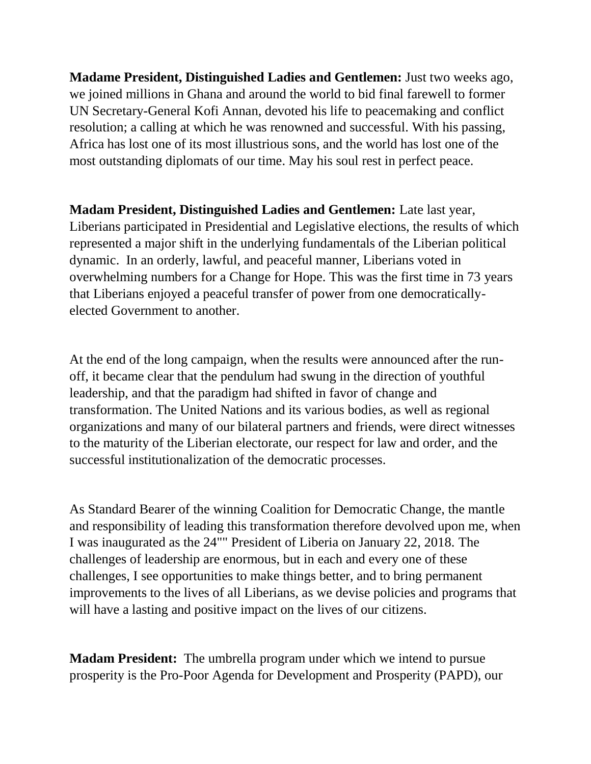**Madame President, Distinguished Ladies and Gentlemen:** Just two weeks ago, we joined millions in Ghana and around the world to bid final farewell to former UN Secretary-General Kofi Annan, devoted his life to peacemaking and conflict resolution; a calling at which he was renowned and successful. With his passing, Africa has lost one of its most illustrious sons, and the world has lost one of the most outstanding diplomats of our time. May his soul rest in perfect peace.

**Madam President, Distinguished Ladies and Gentlemen:** Late last year, Liberians participated in Presidential and Legislative elections, the results of which represented a major shift in the underlying fundamentals of the Liberian political dynamic. In an orderly, lawful, and peaceful manner, Liberians voted in overwhelming numbers for a Change for Hope. This was the first time in 73 years that Liberians enjoyed a peaceful transfer of power from one democraticallyelected Government to another.

At the end of the long campaign, when the results were announced after the runoff, it became clear that the pendulum had swung in the direction of youthful leadership, and that the paradigm had shifted in favor of change and transformation. The United Nations and its various bodies, as well as regional organizations and many of our bilateral partners and friends, were direct witnesses to the maturity of the Liberian electorate, our respect for law and order, and the successful institutionalization of the democratic processes.

As Standard Bearer of the winning Coalition for Democratic Change, the mantle and responsibility of leading this transformation therefore devolved upon me, when I was inaugurated as the 24"" President of Liberia on January 22, 2018. The challenges of leadership are enormous, but in each and every one of these challenges, I see opportunities to make things better, and to bring permanent improvements to the lives of all Liberians, as we devise policies and programs that will have a lasting and positive impact on the lives of our citizens.

**Madam President:** The umbrella program under which we intend to pursue prosperity is the Pro-Poor Agenda for Development and Prosperity (PAPD), our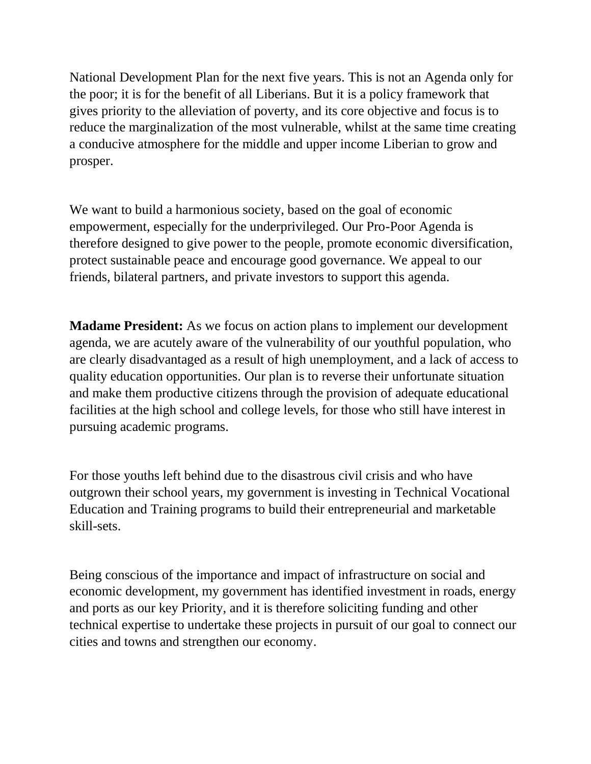National Development Plan for the next five years. This is not an Agenda only for the poor; it is for the benefit of all Liberians. But it is a policy framework that gives priority to the alleviation of poverty, and its core objective and focus is to reduce the marginalization of the most vulnerable, whilst at the same time creating a conducive atmosphere for the middle and upper income Liberian to grow and prosper.

We want to build a harmonious society, based on the goal of economic empowerment, especially for the underprivileged. Our Pro-Poor Agenda is therefore designed to give power to the people, promote economic diversification, protect sustainable peace and encourage good governance. We appeal to our friends, bilateral partners, and private investors to support this agenda.

**Madame President:** As we focus on action plans to implement our development agenda, we are acutely aware of the vulnerability of our youthful population, who are clearly disadvantaged as a result of high unemployment, and a lack of access to quality education opportunities. Our plan is to reverse their unfortunate situation and make them productive citizens through the provision of adequate educational facilities at the high school and college levels, for those who still have interest in pursuing academic programs.

For those youths left behind due to the disastrous civil crisis and who have outgrown their school years, my government is investing in Technical Vocational Education and Training programs to build their entrepreneurial and marketable skill-sets.

Being conscious of the importance and impact of infrastructure on social and economic development, my government has identified investment in roads, energy and ports as our key Priority, and it is therefore soliciting funding and other technical expertise to undertake these projects in pursuit of our goal to connect our cities and towns and strengthen our economy.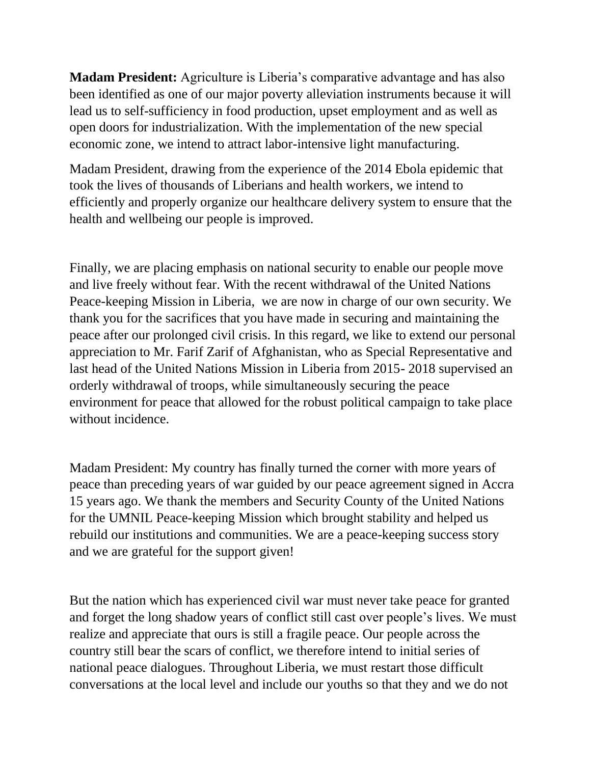**Madam President:** Agriculture is Liberia's comparative advantage and has also been identified as one of our major poverty alleviation instruments because it will lead us to self-sufficiency in food production, upset employment and as well as open doors for industrialization. With the implementation of the new special economic zone, we intend to attract labor-intensive light manufacturing.

Madam President, drawing from the experience of the 2014 Ebola epidemic that took the lives of thousands of Liberians and health workers, we intend to efficiently and properly organize our healthcare delivery system to ensure that the health and wellbeing our people is improved.

Finally, we are placing emphasis on national security to enable our people move and live freely without fear. With the recent withdrawal of the United Nations Peace-keeping Mission in Liberia, we are now in charge of our own security. We thank you for the sacrifices that you have made in securing and maintaining the peace after our prolonged civil crisis. In this regard, we like to extend our personal appreciation to Mr. Farif Zarif of Afghanistan, who as Special Representative and last head of the United Nations Mission in Liberia from 2015- 2018 supervised an orderly withdrawal of troops, while simultaneously securing the peace environment for peace that allowed for the robust political campaign to take place without incidence.

Madam President: My country has finally turned the corner with more years of peace than preceding years of war guided by our peace agreement signed in Accra 15 years ago. We thank the members and Security County of the United Nations for the UMNIL Peace-keeping Mission which brought stability and helped us rebuild our institutions and communities. We are a peace-keeping success story and we are grateful for the support given!

But the nation which has experienced civil war must never take peace for granted and forget the long shadow years of conflict still cast over people's lives. We must realize and appreciate that ours is still a fragile peace. Our people across the country still bear the scars of conflict, we therefore intend to initial series of national peace dialogues. Throughout Liberia, we must restart those difficult conversations at the local level and include our youths so that they and we do not